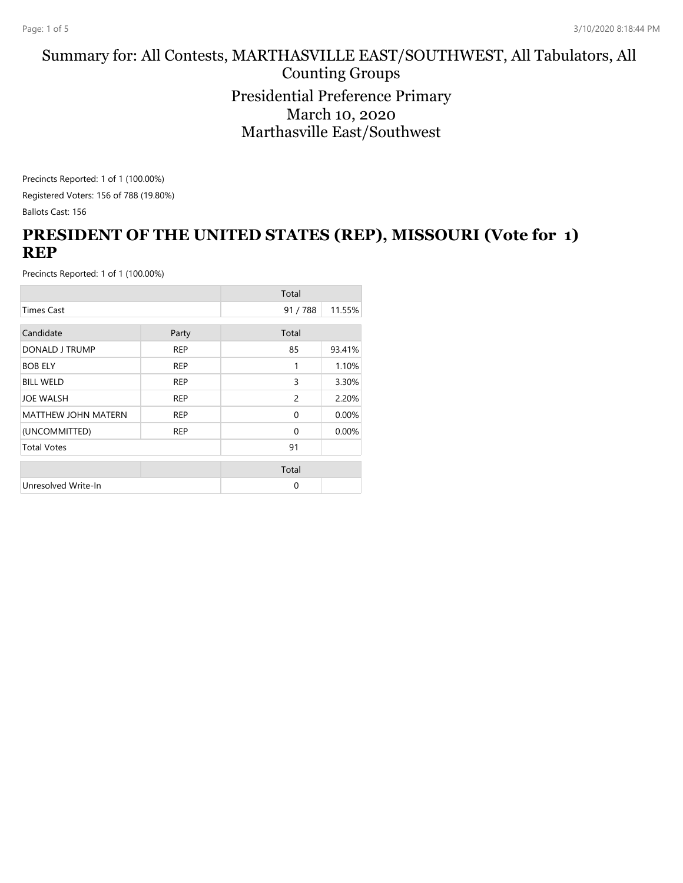#### Summary for: All Contests, MARTHASVILLE EAST/SOUTHWEST, All Tabulators, All Counting Groups Presidential Preference Primary March 10, 2020 Marthasville East/Southwest

Precincts Reported: 1 of 1 (100.00%) Registered Voters: 156 of 788 (19.80%) Ballots Cast: 156

# **PRESIDENT OF THE UNITED STATES (REP), MISSOURI (Vote for 1) REP**

|                            |            | Total         |        |
|----------------------------|------------|---------------|--------|
| <b>Times Cast</b>          |            | 91/788        | 11.55% |
| Candidate                  |            | Total         |        |
|                            | Party      |               |        |
| DONALD J TRUMP             | <b>REP</b> | 85            | 93.41% |
| <b>BOB ELY</b>             | <b>REP</b> | 1             | 1.10%  |
| <b>BILL WELD</b>           | <b>REP</b> | 3             | 3.30%  |
| <b>JOE WALSH</b>           | <b>REP</b> | $\mathcal{P}$ | 2.20%  |
| <b>MATTHEW JOHN MATERN</b> | <b>REP</b> | $\Omega$      | 0.00%  |
| (UNCOMMITTED)              | <b>REP</b> | $\Omega$      | 0.00%  |
| <b>Total Votes</b>         |            | 91            |        |
|                            |            | Total         |        |
|                            |            |               |        |
| Unresolved Write-In        |            | $\Omega$      |        |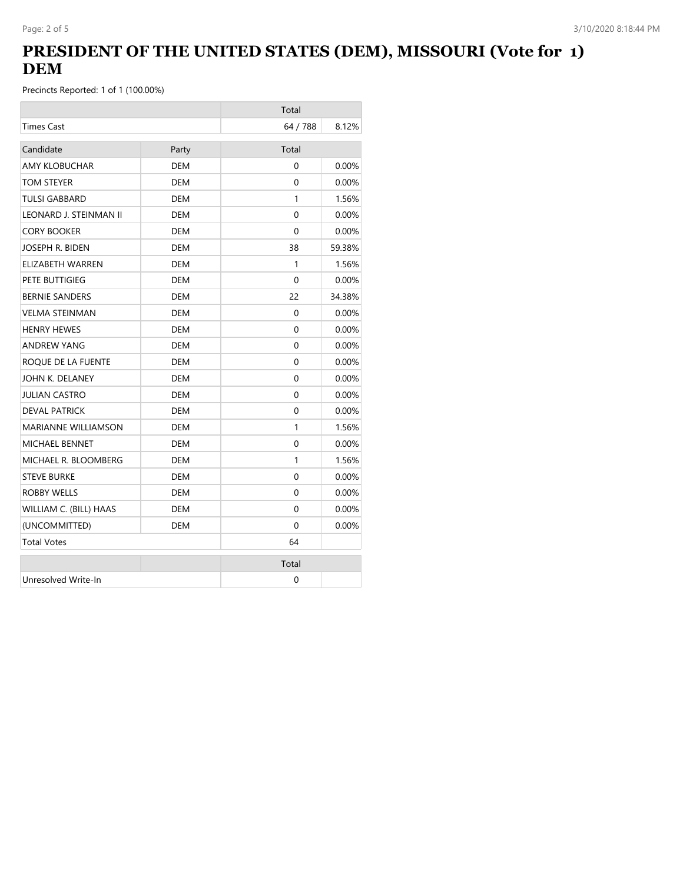# **PRESIDENT OF THE UNITED STATES (DEM), MISSOURI (Vote for 1) DEM**

|                            |            | Total    |          |
|----------------------------|------------|----------|----------|
| <b>Times Cast</b>          |            | 64 / 788 | 8.12%    |
| Candidate                  | Party      | Total    |          |
| <b>AMY KLOBUCHAR</b>       | <b>DEM</b> | 0        | 0.00%    |
| TOM STEYER                 | DEM        | 0        | $0.00\%$ |
| <b>TULSI GABBARD</b>       | <b>DEM</b> | 1        | 1.56%    |
| LEONARD J. STEINMAN II     | DEM        | 0        | $0.00\%$ |
| <b>CORY BOOKER</b>         | DEM        | $\Omega$ | $0.00\%$ |
| JOSEPH R. BIDEN            | <b>DEM</b> | 38       | 59.38%   |
| ELIZABETH WARREN           | <b>DEM</b> | 1        | 1.56%    |
| PETE BUTTIGIEG             | DEM        | $\Omega$ | 0.00%    |
| <b>BERNIE SANDERS</b>      | DEM        | 22       | 34.38%   |
| <b>VELMA STEINMAN</b>      | DEM        | $\Omega$ | $0.00\%$ |
| <b>HENRY HEWES</b>         | DEM        | 0        | $0.00\%$ |
| ANDREW YANG                | DEM        | $\Omega$ | $0.00\%$ |
| ROQUE DE LA FUENTE         | <b>DEM</b> | 0        | 0.00%    |
| JOHN K. DELANEY            | <b>DEM</b> | $\Omega$ | 0.00%    |
| <b>JULIAN CASTRO</b>       | <b>DEM</b> | $\Omega$ | 0.00%    |
| <b>DEVAL PATRICK</b>       | <b>DEM</b> | 0        | 0.00%    |
| <b>MARIANNE WILLIAMSON</b> | DEM        | 1        | 1.56%    |
| <b>MICHAEL BENNET</b>      | <b>DEM</b> | 0        | 0.00%    |
| MICHAEL R. BLOOMBERG       | DEM        | 1        | 1.56%    |
| <b>STEVE BURKE</b>         | <b>DEM</b> | $\Omega$ | 0.00%    |
| <b>ROBBY WELLS</b>         | <b>DEM</b> | $\Omega$ | 0.00%    |
| WILLIAM C. (BILL) HAAS     | DEM        | $\Omega$ | $0.00\%$ |
| (UNCOMMITTED)              | <b>DEM</b> | $\Omega$ | 0.00%    |
| <b>Total Votes</b>         |            | 64       |          |
|                            |            | Total    |          |
| Unresolved Write-In        |            | 0        |          |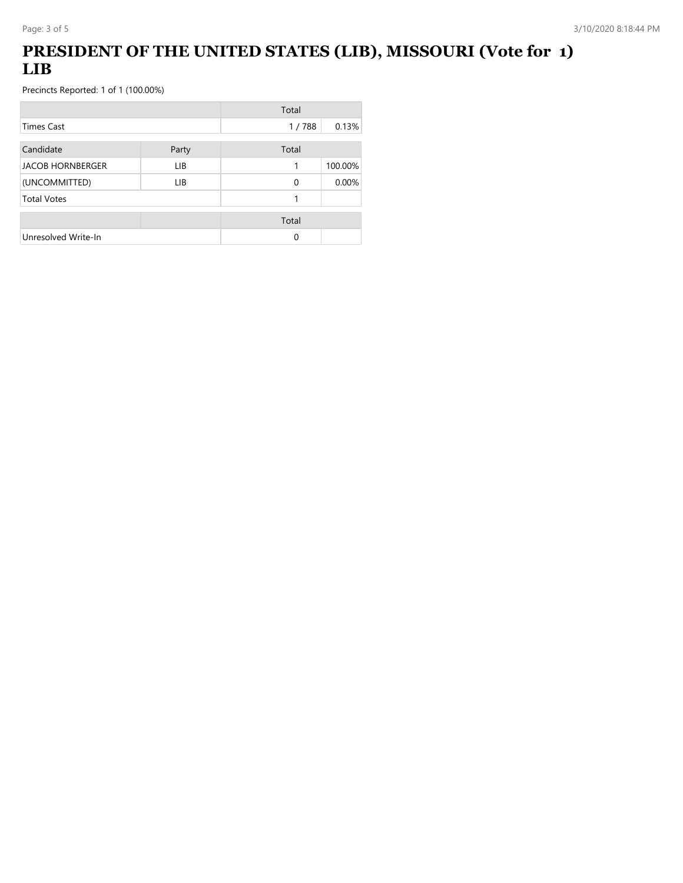# **PRESIDENT OF THE UNITED STATES (LIB), MISSOURI (Vote for 1) LIB**

|                         |       | Total    |         |
|-------------------------|-------|----------|---------|
| Times Cast              |       | 1/788    | 0.13%   |
| Candidate               | Party | Total    |         |
| <b>JACOB HORNBERGER</b> | LIB.  | 1        | 100.00% |
| (UNCOMMITTED)           | LIB.  | $\Omega$ | 0.00%   |
| <b>Total Votes</b>      |       | 1        |         |
|                         |       | Total    |         |
| Unresolved Write-In     |       | 0        |         |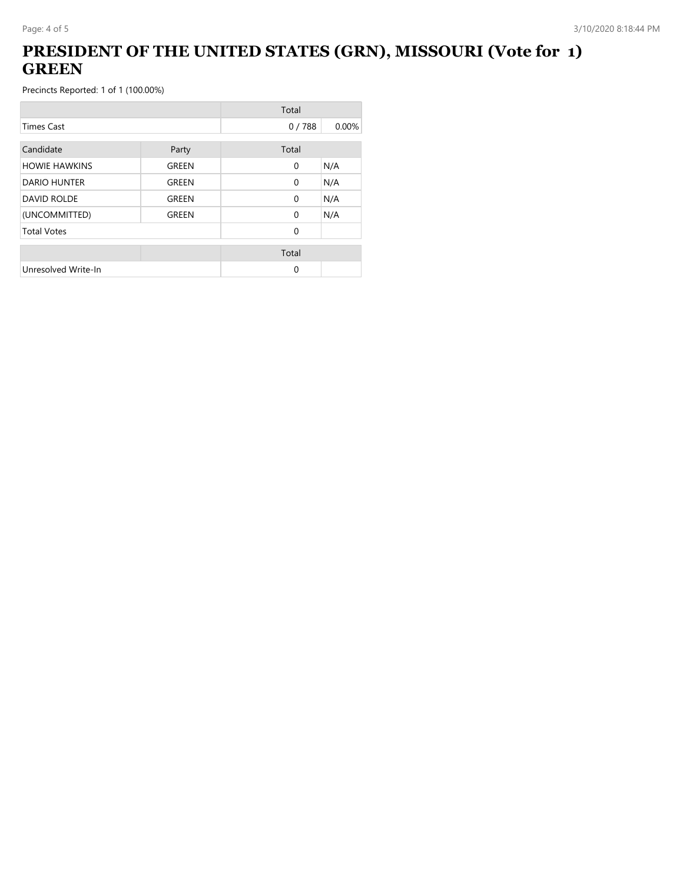# **PRESIDENT OF THE UNITED STATES (GRN), MISSOURI (Vote for 1) GREEN**

|                      |       | Total        |       |
|----------------------|-------|--------------|-------|
| <b>Times Cast</b>    |       | 0/788        | 0.00% |
| Candidate            | Party | Total        |       |
| <b>HOWIE HAWKINS</b> | GREEN | $\mathbf{0}$ | N/A   |
| <b>DARIO HUNTER</b>  | GREEN | $\mathbf{0}$ | N/A   |
| <b>DAVID ROLDE</b>   | GREEN | $\mathbf{0}$ | N/A   |
| (UNCOMMITTED)        | GREEN | $\Omega$     | N/A   |
| <b>Total Votes</b>   |       | $\Omega$     |       |
|                      |       | Total        |       |
| Unresolved Write-In  |       | 0            |       |